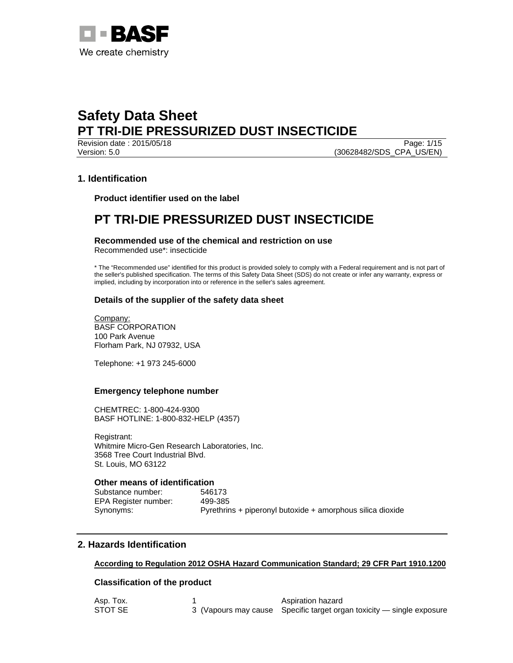

Revision date : 2015/05/18 Page: 1/15 Version: 5.0 (30628482/SDS\_CPA\_US/EN)

## **1. Identification**

**Product identifier used on the label** 

# **PT TRI-DIE PRESSURIZED DUST INSECTICIDE**

**Recommended use of the chemical and restriction on use** 

Recommended use\*: insecticide

\* The "Recommended use" identified for this product is provided solely to comply with a Federal requirement and is not part of the seller's published specification. The terms of this Safety Data Sheet (SDS) do not create or infer any warranty, express or implied, including by incorporation into or reference in the seller's sales agreement.

## **Details of the supplier of the safety data sheet**

Company: BASF CORPORATION 100 Park Avenue Florham Park, NJ 07932, USA

Telephone: +1 973 245-6000

## **Emergency telephone number**

CHEMTREC: 1-800-424-9300 BASF HOTLINE: 1-800-832-HELP (4357)

Registrant: Whitmire Micro-Gen Research Laboratories, Inc. 3568 Tree Court Industrial Blvd. St. Louis, MO 63122

## **Other means of identification**

Substance number: 546173 EPA Register number: 499-385

Synonyms: Pyrethrins + piperonyl butoxide + amorphous silica dioxide

## **2. Hazards Identification**

### **According to Regulation 2012 OSHA Hazard Communication Standard; 29 CFR Part 1910.1200**

## **Classification of the product**

| Asp. Tox. | Aspiration hazard                                                     |
|-----------|-----------------------------------------------------------------------|
| STOT SE   | 3 (Vapours may cause Specific target organ toxicity — single exposure |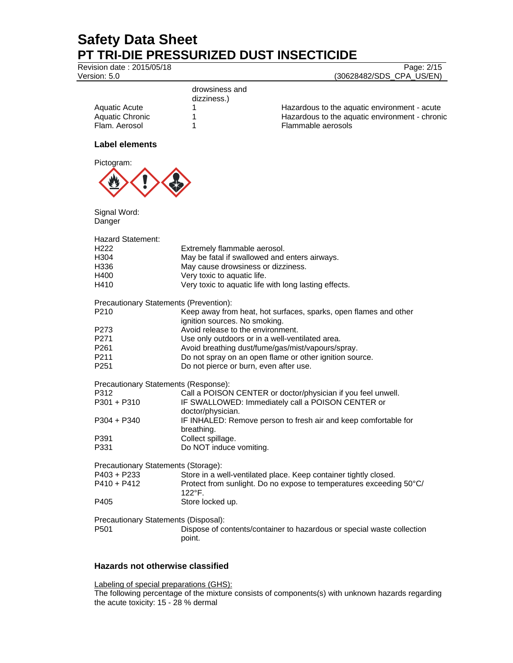Revision date : 2015/05/18

| Version: 5.0                                 |                                        | (30628482/SDS_CPA_US/EN)                                               |
|----------------------------------------------|----------------------------------------|------------------------------------------------------------------------|
|                                              | drowsiness and                         |                                                                        |
|                                              | dizziness.)                            |                                                                        |
| <b>Aquatic Acute</b>                         | 1                                      | Hazardous to the aquatic environment - acute                           |
| <b>Aquatic Chronic</b>                       | 1                                      | Hazardous to the aquatic environment - chronic                         |
| Flam. Aerosol                                | 1                                      | Flammable aerosols                                                     |
| <b>Label elements</b>                        |                                        |                                                                        |
| Pictogram:                                   |                                        |                                                                        |
|                                              |                                        |                                                                        |
| Signal Word:<br>Danger                       |                                        |                                                                        |
| <b>Hazard Statement:</b>                     |                                        |                                                                        |
| H <sub>222</sub>                             | Extremely flammable aerosol.           |                                                                        |
| H304                                         |                                        | May be fatal if swallowed and enters airways.                          |
| H336                                         | May cause drowsiness or dizziness.     |                                                                        |
| H400                                         | Very toxic to aquatic life.            |                                                                        |
| H410                                         |                                        | Very toxic to aquatic life with long lasting effects.                  |
| Precautionary Statements (Prevention):       |                                        |                                                                        |
| P210                                         |                                        | Keep away from heat, hot surfaces, sparks, open flames and other       |
|                                              | ignition sources. No smoking.          |                                                                        |
| P273                                         | Avoid release to the environment.      |                                                                        |
| P271                                         |                                        | Use only outdoors or in a well-ventilated area.                        |
| P <sub>261</sub>                             |                                        | Avoid breathing dust/fume/gas/mist/vapours/spray.                      |
| P211                                         |                                        | Do not spray on an open flame or other ignition source.                |
| P251                                         | Do not pierce or burn, even after use. |                                                                        |
| Precautionary Statements (Response):         |                                        |                                                                        |
| P312                                         |                                        | Call a POISON CENTER or doctor/physician if you feel unwell.           |
| $P301 + P310$                                |                                        | IF SWALLOWED: Immediately call a POISON CENTER or                      |
|                                              | doctor/physician.                      |                                                                        |
| $P304 + P340$                                |                                        | IF INHALED: Remove person to fresh air and keep comfortable for        |
|                                              | breathing.                             |                                                                        |
| P391                                         | Collect spillage.                      |                                                                        |
| P331                                         | Do NOT induce vomiting.                |                                                                        |
| Precautionary Statements (Storage):          |                                        |                                                                        |
| $P403 + P233$                                |                                        | Store in a well-ventilated place. Keep container tightly closed.       |
| $P410 + P412$                                |                                        | Protect from sunlight. Do no expose to temperatures exceeding 50°C/    |
| P405                                         | 122°F.<br>Store locked up.             |                                                                        |
|                                              |                                        |                                                                        |
| Precautionary Statements (Disposal):<br>P501 |                                        |                                                                        |
|                                              | point.                                 | Dispose of contents/container to hazardous or special waste collection |

## **Hazards not otherwise classified**

Labeling of special preparations (GHS):

The following percentage of the mixture consists of components(s) with unknown hazards regarding the acute toxicity: 15 - 28 % dermal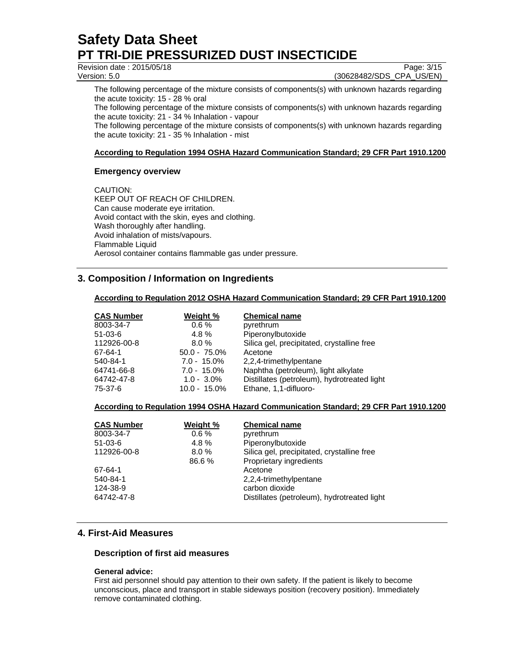Revision date : 2015/05/18 Page: 3/15

Version: 5.0 (30628482/SDS\_CPA\_US/EN)

The following percentage of the mixture consists of components(s) with unknown hazards regarding the acute toxicity: 15 - 28 % oral

The following percentage of the mixture consists of components(s) with unknown hazards regarding the acute toxicity: 21 - 34 % Inhalation - vapour

The following percentage of the mixture consists of components(s) with unknown hazards regarding the acute toxicity: 21 - 35 % Inhalation - mist

## **According to Regulation 1994 OSHA Hazard Communication Standard; 29 CFR Part 1910.1200**

## **Emergency overview**

CAUTION: KEEP OUT OF REACH OF CHILDREN. Can cause moderate eye irritation. Avoid contact with the skin, eyes and clothing. Wash thoroughly after handling. Avoid inhalation of mists/vapours. Flammable Liquid Aerosol container contains flammable gas under pressure.

## **3. Composition / Information on Ingredients**

### **According to Regulation 2012 OSHA Hazard Communication Standard; 29 CFR Part 1910.1200**

| <b>CAS Number</b> | Weight %        | <b>Chemical name</b>                        |
|-------------------|-----------------|---------------------------------------------|
| 8003-34-7         | $0.6 \%$        | pyrethrum                                   |
| $51 - 03 - 6$     | 4.8 $%$         | Piperonylbutoxide                           |
| 112926-00-8       | 8.0%            | Silica gel, precipitated, crystalline free  |
| 67-64-1           | $50.0 - 75.0\%$ | Acetone                                     |
| 540-84-1          | $7.0 - 15.0\%$  | 2,2,4-trimethylpentane                      |
| 64741-66-8        | $7.0 - 15.0\%$  | Naphtha (petroleum), light alkylate         |
| 64742-47-8        | $1.0 - 3.0\%$   | Distillates (petroleum), hydrotreated light |
| 75-37-6           | $10.0 - 15.0\%$ | Ethane, 1,1-difluoro-                       |

## **According to Regulation 1994 OSHA Hazard Communication Standard; 29 CFR Part 1910.1200**

| <b>CAS Number</b> | Weight % | <b>Chemical name</b>                        |
|-------------------|----------|---------------------------------------------|
| 8003-34-7         | $0.6\%$  | pyrethrum                                   |
| $51-03-6$         | $4.8\%$  | Piperonylbutoxide                           |
| 112926-00-8       | $8.0\%$  | Silica gel, precipitated, crystalline free  |
|                   | 86.6%    | Proprietary ingredients                     |
| 67-64-1           |          | Acetone                                     |
| 540-84-1          |          | 2,2,4-trimethylpentane                      |
| 124-38-9          |          | carbon dioxide                              |
| 64742-47-8        |          | Distillates (petroleum), hydrotreated light |

## **4. First-Aid Measures**

### **Description of first aid measures**

### **General advice:**

First aid personnel should pay attention to their own safety. If the patient is likely to become unconscious, place and transport in stable sideways position (recovery position). Immediately remove contaminated clothing.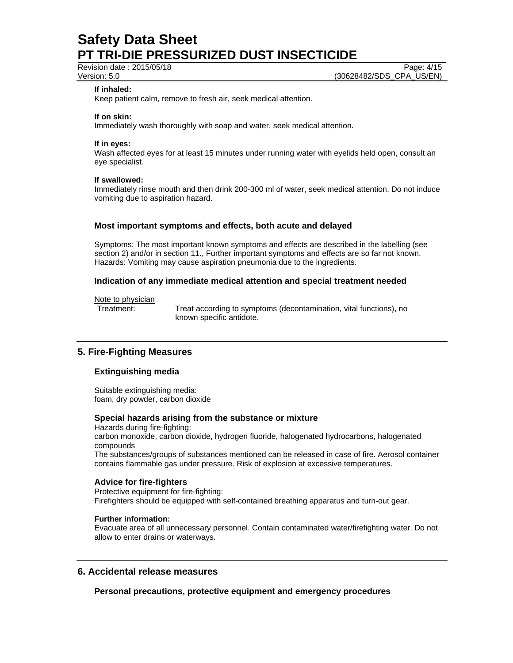Revision date : 2015/05/18 Page: 4/15

Version: 5.0 (30628482/SDS\_CPA\_US/EN)

#### **If inhaled:**

Keep patient calm, remove to fresh air, seek medical attention.

#### **If on skin:**

Immediately wash thoroughly with soap and water, seek medical attention.

#### **If in eyes:**

Wash affected eyes for at least 15 minutes under running water with eyelids held open, consult an eye specialist.

#### **If swallowed:**

Immediately rinse mouth and then drink 200-300 ml of water, seek medical attention. Do not induce vomiting due to aspiration hazard.

### **Most important symptoms and effects, both acute and delayed**

Symptoms: The most important known symptoms and effects are described in the labelling (see section 2) and/or in section 11., Further important symptoms and effects are so far not known. Hazards: Vomiting may cause aspiration pneumonia due to the ingredients.

### **Indication of any immediate medical attention and special treatment needed**

Note to physician

Treatment: Treat according to symptoms (decontamination, vital functions), no known specific antidote.

## **5. Fire-Fighting Measures**

### **Extinguishing media**

Suitable extinguishing media: foam, dry powder, carbon dioxide

### **Special hazards arising from the substance or mixture**

Hazards during fire-fighting: carbon monoxide, carbon dioxide, hydrogen fluoride, halogenated hydrocarbons, halogenated compounds The substances/groups of substances mentioned can be released in case of fire. Aerosol container contains flammable gas under pressure. Risk of explosion at excessive temperatures.

#### **Advice for fire-fighters**

Protective equipment for fire-fighting: Firefighters should be equipped with self-contained breathing apparatus and turn-out gear.

#### **Further information:**

Evacuate area of all unnecessary personnel. Contain contaminated water/firefighting water. Do not allow to enter drains or waterways.

# **6. Accidental release measures**

**Personal precautions, protective equipment and emergency procedures**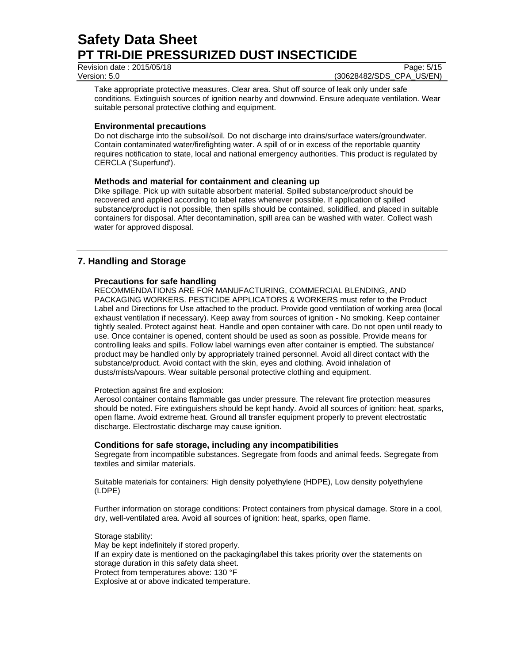Revision date : 2015/05/18 Page: 5/15

Version: 5.0 (30628482/SDS\_CPA\_US/EN)

Take appropriate protective measures. Clear area. Shut off source of leak only under safe conditions. Extinguish sources of ignition nearby and downwind. Ensure adequate ventilation. Wear suitable personal protective clothing and equipment.

## **Environmental precautions**

Do not discharge into the subsoil/soil. Do not discharge into drains/surface waters/groundwater. Contain contaminated water/firefighting water. A spill of or in excess of the reportable quantity requires notification to state, local and national emergency authorities. This product is regulated by CERCLA ('Superfund').

## **Methods and material for containment and cleaning up**

Dike spillage. Pick up with suitable absorbent material. Spilled substance/product should be recovered and applied according to label rates whenever possible. If application of spilled substance/product is not possible, then spills should be contained, solidified, and placed in suitable containers for disposal. After decontamination, spill area can be washed with water. Collect wash water for approved disposal.

## **7. Handling and Storage**

## **Precautions for safe handling**

RECOMMENDATIONS ARE FOR MANUFACTURING, COMMERCIAL BLENDING, AND PACKAGING WORKERS. PESTICIDE APPLICATORS & WORKERS must refer to the Product Label and Directions for Use attached to the product. Provide good ventilation of working area (local exhaust ventilation if necessary). Keep away from sources of ignition - No smoking. Keep container tightly sealed. Protect against heat. Handle and open container with care. Do not open until ready to use. Once container is opened, content should be used as soon as possible. Provide means for controlling leaks and spills. Follow label warnings even after container is emptied. The substance/ product may be handled only by appropriately trained personnel. Avoid all direct contact with the substance/product. Avoid contact with the skin, eyes and clothing. Avoid inhalation of dusts/mists/vapours. Wear suitable personal protective clothing and equipment.

### Protection against fire and explosion:

Aerosol container contains flammable gas under pressure. The relevant fire protection measures should be noted. Fire extinguishers should be kept handy. Avoid all sources of ignition: heat, sparks, open flame. Avoid extreme heat. Ground all transfer equipment properly to prevent electrostatic discharge. Electrostatic discharge may cause ignition.

## **Conditions for safe storage, including any incompatibilities**

Segregate from incompatible substances. Segregate from foods and animal feeds. Segregate from textiles and similar materials.

Suitable materials for containers: High density polyethylene (HDPE), Low density polyethylene (LDPE)

Further information on storage conditions: Protect containers from physical damage. Store in a cool, dry, well-ventilated area. Avoid all sources of ignition: heat, sparks, open flame.

Storage stability: May be kept indefinitely if stored properly. If an expiry date is mentioned on the packaging/label this takes priority over the statements on storage duration in this safety data sheet. Protect from temperatures above: 130 °F Explosive at or above indicated temperature.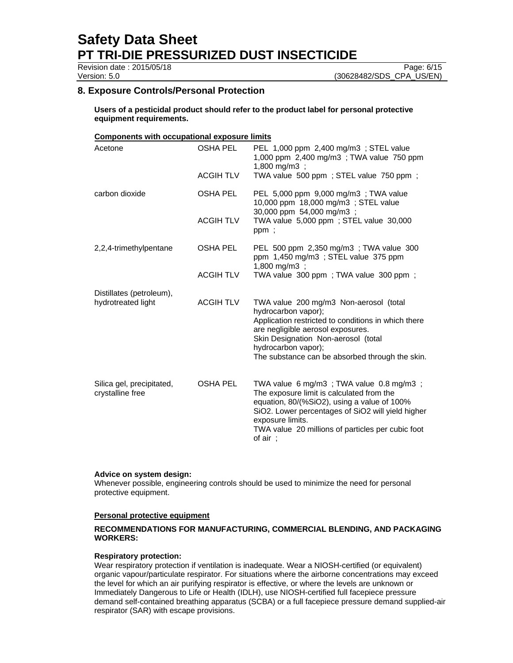Revision date : 2015/05/18 Page: 6/15

Version: 5.0 (30628482/SDS\_CPA\_US/EN)

## **8. Exposure Controls/Personal Protection**

**Users of a pesticidal product should refer to the product label for personal protective equipment requirements.** 

#### **Components with occupational exposure limits**

| Acetone                                        | <b>OSHA PEL</b>  | PEL 1,000 ppm 2,400 mg/m3 ; STEL value<br>1,000 ppm 2,400 mg/m3; TWA value 750 ppm<br>$1,800 \text{ mg/m3}$ ;                                                                                                                                                                  |
|------------------------------------------------|------------------|--------------------------------------------------------------------------------------------------------------------------------------------------------------------------------------------------------------------------------------------------------------------------------|
|                                                | <b>ACGIH TLV</b> | TWA value 500 ppm; STEL value 750 ppm;                                                                                                                                                                                                                                         |
| carbon dioxide                                 | <b>OSHA PEL</b>  | PEL 5,000 ppm 9,000 mg/m3; TWA value<br>10,000 ppm 18,000 mg/m3; STEL value<br>30,000 ppm 54,000 mg/m3;                                                                                                                                                                        |
|                                                | <b>ACGIH TLV</b> | TWA value 5,000 ppm; STEL value 30,000<br>ppm;                                                                                                                                                                                                                                 |
| 2,2,4-trimethylpentane                         | OSHA PEL         | PEL 500 ppm 2,350 mg/m3; TWA value 300<br>ppm 1,450 mg/m3 ; STEL value 375 ppm<br>1,800 mg/m3 ;                                                                                                                                                                                |
|                                                | <b>ACGIH TLV</b> | TWA value 300 ppm; TWA value 300 ppm;                                                                                                                                                                                                                                          |
| Distillates (petroleum),<br>hydrotreated light | <b>ACGIH TLV</b> | TWA value 200 mg/m3 Non-aerosol (total<br>hydrocarbon vapor);<br>Application restricted to conditions in which there<br>are negligible aerosol exposures.<br>Skin Designation Non-aerosol (total<br>hydrocarbon vapor);<br>The substance can be absorbed through the skin.     |
| Silica gel, precipitated,<br>crystalline free  | <b>OSHA PEL</b>  | TWA value 6 mg/m3 ; TWA value 0.8 mg/m3 ;<br>The exposure limit is calculated from the<br>equation, 80/(%SiO2), using a value of 100%<br>SiO2. Lower percentages of SiO2 will yield higher<br>exposure limits.<br>TWA value 20 millions of particles per cubic foot<br>of air; |

### **Advice on system design:**

Whenever possible, engineering controls should be used to minimize the need for personal protective equipment.

### **Personal protective equipment**

## **RECOMMENDATIONS FOR MANUFACTURING, COMMERCIAL BLENDING, AND PACKAGING WORKERS:**

#### **Respiratory protection:**

Wear respiratory protection if ventilation is inadequate. Wear a NIOSH-certified (or equivalent) organic vapour/particulate respirator. For situations where the airborne concentrations may exceed the level for which an air purifying respirator is effective, or where the levels are unknown or Immediately Dangerous to Life or Health (IDLH), use NIOSH-certified full facepiece pressure demand self-contained breathing apparatus (SCBA) or a full facepiece pressure demand supplied-air respirator (SAR) with escape provisions.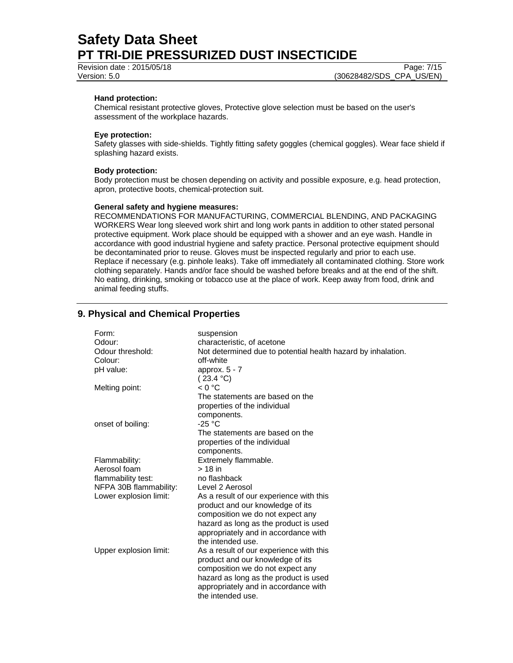Revision date : 2015/05/18 Page: 7/15

Version: 5.0 (30628482/SDS\_CPA\_US/EN)

### **Hand protection:**

Chemical resistant protective gloves, Protective glove selection must be based on the user's assessment of the workplace hazards.

#### **Eye protection:**

Safety glasses with side-shields. Tightly fitting safety goggles (chemical goggles). Wear face shield if splashing hazard exists.

### **Body protection:**

Body protection must be chosen depending on activity and possible exposure, e.g. head protection, apron, protective boots, chemical-protection suit.

#### **General safety and hygiene measures:**

RECOMMENDATIONS FOR MANUFACTURING, COMMERCIAL BLENDING, AND PACKAGING WORKERS Wear long sleeved work shirt and long work pants in addition to other stated personal protective equipment. Work place should be equipped with a shower and an eye wash. Handle in accordance with good industrial hygiene and safety practice. Personal protective equipment should be decontaminated prior to reuse. Gloves must be inspected regularly and prior to each use. Replace if necessary (e.g. pinhole leaks). Take off immediately all contaminated clothing. Store work clothing separately. Hands and/or face should be washed before breaks and at the end of the shift. No eating, drinking, smoking or tobacco use at the place of work. Keep away from food, drink and animal feeding stuffs.

## **9. Physical and Chemical Properties**

| Form:<br>Odour:        | suspension<br>characteristic, of acetone                                  |
|------------------------|---------------------------------------------------------------------------|
| Odour threshold:       |                                                                           |
| Colour:                | Not determined due to potential health hazard by inhalation.<br>off-white |
|                        |                                                                           |
| pH value:              | approx. $5 - 7$                                                           |
|                        | (23.4 °C)                                                                 |
| Melting point:         | < 0 °C                                                                    |
|                        | The statements are based on the                                           |
|                        | properties of the individual                                              |
|                        | components.                                                               |
| onset of boiling:      | $-25 °C$                                                                  |
|                        | The statements are based on the                                           |
|                        | properties of the individual                                              |
|                        | components.                                                               |
| Flammability:          | Extremely flammable.                                                      |
| Aerosol foam           | $> 18$ in                                                                 |
| flammability test:     | no flashback                                                              |
| NFPA 30B flammability: | Level 2 Aerosol                                                           |
| Lower explosion limit: | As a result of our experience with this                                   |
|                        | product and our knowledge of its                                          |
|                        | composition we do not expect any                                          |
|                        | hazard as long as the product is used                                     |
|                        | appropriately and in accordance with                                      |
|                        | the intended use.                                                         |
| Upper explosion limit: | As a result of our experience with this                                   |
|                        | product and our knowledge of its                                          |
|                        |                                                                           |
|                        | composition we do not expect any                                          |
|                        | hazard as long as the product is used                                     |
|                        | appropriately and in accordance with                                      |
|                        | the intended use.                                                         |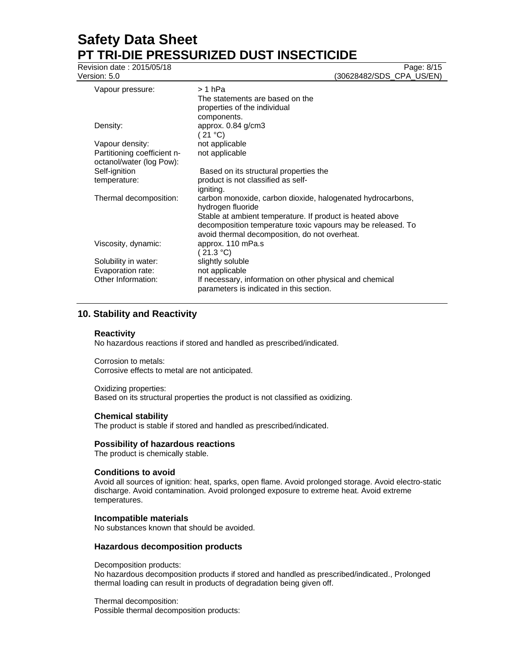Revision date : 2015/05/18 Page: 8/15

Version: 5.0 (30628482/SDS\_CPA\_US/EN)

| Vapour pressure:                                        | > 1 hPa<br>The statements are based on the<br>properties of the individual<br>components.                                                                                 |
|---------------------------------------------------------|---------------------------------------------------------------------------------------------------------------------------------------------------------------------------|
| Density:                                                | approx. 0.84 g/cm3<br>(21 °C)                                                                                                                                             |
| Vapour density:                                         | not applicable                                                                                                                                                            |
| Partitioning coefficient n-<br>octanol/water (log Pow): | not applicable                                                                                                                                                            |
| Self-ignition                                           | Based on its structural properties the                                                                                                                                    |
| temperature:                                            | product is not classified as self-<br>igniting.                                                                                                                           |
| Thermal decomposition:                                  | carbon monoxide, carbon dioxide, halogenated hydrocarbons,<br>hydrogen fluoride                                                                                           |
|                                                         | Stable at ambient temperature. If product is heated above<br>decomposition temperature toxic vapours may be released. To<br>avoid thermal decomposition, do not overheat. |
| Viscosity, dynamic:                                     | approx. 110 mPa.s<br>(21.3 °C)                                                                                                                                            |
| Solubility in water:                                    | slightly soluble                                                                                                                                                          |
| Evaporation rate:                                       | not applicable                                                                                                                                                            |
| Other Information:                                      | If necessary, information on other physical and chemical<br>parameters is indicated in this section.                                                                      |

# **10. Stability and Reactivity**

### **Reactivity**

No hazardous reactions if stored and handled as prescribed/indicated.

Corrosion to metals: Corrosive effects to metal are not anticipated.

Oxidizing properties: Based on its structural properties the product is not classified as oxidizing.

## **Chemical stability**

The product is stable if stored and handled as prescribed/indicated.

### **Possibility of hazardous reactions**

The product is chemically stable.

### **Conditions to avoid**

Avoid all sources of ignition: heat, sparks, open flame. Avoid prolonged storage. Avoid electro-static discharge. Avoid contamination. Avoid prolonged exposure to extreme heat. Avoid extreme temperatures.

### **Incompatible materials**

No substances known that should be avoided.

### **Hazardous decomposition products**

Decomposition products:

No hazardous decomposition products if stored and handled as prescribed/indicated., Prolonged thermal loading can result in products of degradation being given off.

Thermal decomposition: Possible thermal decomposition products: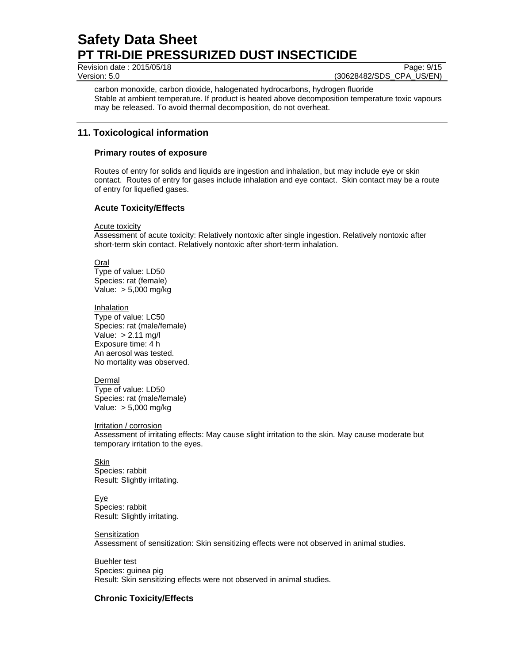Revision date : 2015/05/18 Page: 9/15

Version: 5.0 (30628482/SDS\_CPA\_US/EN)

carbon monoxide, carbon dioxide, halogenated hydrocarbons, hydrogen fluoride Stable at ambient temperature. If product is heated above decomposition temperature toxic vapours may be released. To avoid thermal decomposition, do not overheat.

# **11. Toxicological information**

## **Primary routes of exposure**

Routes of entry for solids and liquids are ingestion and inhalation, but may include eye or skin contact. Routes of entry for gases include inhalation and eye contact. Skin contact may be a route of entry for liquefied gases.

## **Acute Toxicity/Effects**

Acute toxicity

Assessment of acute toxicity: Relatively nontoxic after single ingestion. Relatively nontoxic after short-term skin contact. Relatively nontoxic after short-term inhalation.

Oral Type of value: LD50 Species: rat (female) Value: > 5,000 mg/kg

**Inhalation** Type of value: LC50 Species: rat (male/female) Value: > 2.11 mg/l Exposure time: 4 h An aerosol was tested. No mortality was observed.

Dermal Type of value: LD50 Species: rat (male/female) Value: > 5,000 mg/kg

Irritation / corrosion

Assessment of irritating effects: May cause slight irritation to the skin. May cause moderate but temporary irritation to the eyes.

Skin Species: rabbit Result: Slightly irritating.

Eye Species: rabbit Result: Slightly irritating.

**Sensitization** 

Assessment of sensitization: Skin sensitizing effects were not observed in animal studies.

Buehler test Species: guinea pig Result: Skin sensitizing effects were not observed in animal studies.

## **Chronic Toxicity/Effects**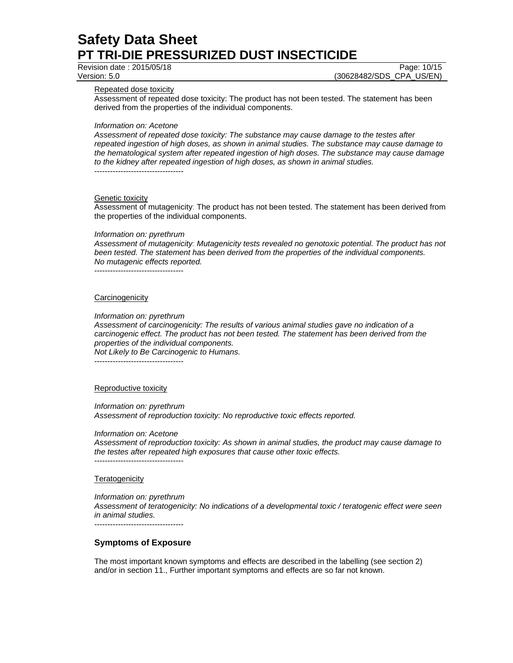Revision date : 2015/05/18 Page: 10/15

Version: 5.0 (30628482/SDS\_CPA\_US/EN)

Repeated dose toxicity

Assessment of repeated dose toxicity: The product has not been tested. The statement has been derived from the properties of the individual components.

*Information on: Acetone* 

*Assessment of repeated dose toxicity: The substance may cause damage to the testes after repeated ingestion of high doses, as shown in animal studies. The substance may cause damage to the hematological system after repeated ingestion of high doses. The substance may cause damage to the kidney after repeated ingestion of high doses, as shown in animal studies.*  ----------------------------------

**Genetic toxicity** 

Assessment of mutagenicity: The product has not been tested. The statement has been derived from the properties of the individual components.

#### *Information on: pyrethrum*

*Assessment of mutagenicity: Mutagenicity tests revealed no genotoxic potential. The product has not been tested. The statement has been derived from the properties of the individual components. No mutagenic effects reported.* 

----------------------------------

#### **Carcinogenicity**

*Information on: pyrethrum* 

*Assessment of carcinogenicity: The results of various animal studies gave no indication of a carcinogenic effect. The product has not been tested. The statement has been derived from the properties of the individual components. Not Likely to Be Carcinogenic to Humans.* 

----------------------------------

#### Reproductive toxicity

*Information on: pyrethrum Assessment of reproduction toxicity: No reproductive toxic effects reported.* 

*Information on: Acetone* 

*Assessment of reproduction toxicity: As shown in animal studies, the product may cause damage to the testes after repeated high exposures that cause other toxic effects.*  ----------------------------------

#### **Teratogenicity**

*Information on: pyrethrum Assessment of teratogenicity: No indications of a developmental toxic / teratogenic effect were seen in animal studies.*  ----------------------------------

#### **Symptoms of Exposure**

The most important known symptoms and effects are described in the labelling (see section 2) and/or in section 11., Further important symptoms and effects are so far not known.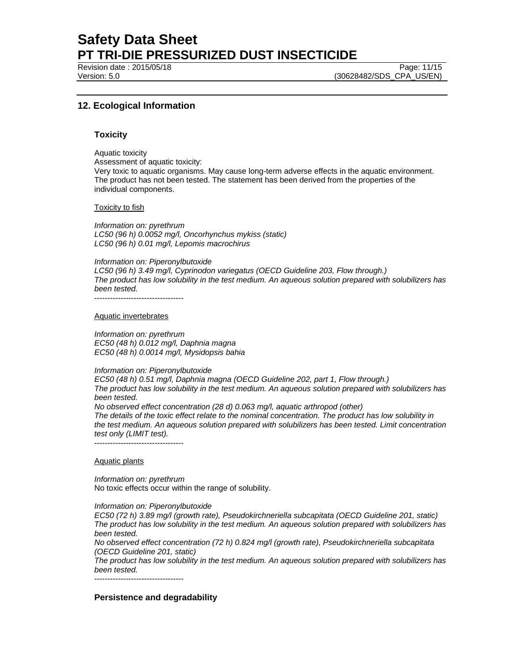Revision date : 2015/05/18

Version: 5.0 (30628482/SDS\_CPA\_US/EN)

## **12. Ecological Information**

### **Toxicity**

Aquatic toxicity Assessment of aquatic toxicity: Very toxic to aquatic organisms. May cause long-term adverse effects in the aquatic environment. The product has not been tested. The statement has been derived from the properties of the individual components.

#### Toxicity to fish

*Information on: pyrethrum LC50 (96 h) 0.0052 mg/l, Oncorhynchus mykiss (static) LC50 (96 h) 0.01 mg/l, Lepomis macrochirus* 

#### *Information on: Piperonylbutoxide*

*LC50 (96 h) 3.49 mg/l, Cyprinodon variegatus (OECD Guideline 203, Flow through.) The product has low solubility in the test medium. An aqueous solution prepared with solubilizers has been tested.* 

#### Aquatic invertebrates

*Information on: pyrethrum EC50 (48 h) 0.012 mg/l, Daphnia magna EC50 (48 h) 0.0014 mg/l, Mysidopsis bahia* 

#### *Information on: Piperonylbutoxide*

*EC50 (48 h) 0.51 mg/l, Daphnia magna (OECD Guideline 202, part 1, Flow through.) The product has low solubility in the test medium. An aqueous solution prepared with solubilizers has been tested.* 

*No observed effect concentration (28 d) 0.063 mg/l, aquatic arthropod (other)*

*The details of the toxic effect relate to the nominal concentration. The product has low solubility in the test medium. An aqueous solution prepared with solubilizers has been tested. Limit concentration test only (LIMIT test).* 

----------------------------------

#### Aquatic plants

*Information on: pyrethrum*  No toxic effects occur within the range of solubility.

*Information on: Piperonylbutoxide* 

*EC50 (72 h) 3.89 mg/l (growth rate), Pseudokirchneriella subcapitata (OECD Guideline 201, static) The product has low solubility in the test medium. An aqueous solution prepared with solubilizers has been tested.* 

*No observed effect concentration (72 h) 0.824 mg/l (growth rate), Pseudokirchneriella subcapitata (OECD Guideline 201, static)* 

*The product has low solubility in the test medium. An aqueous solution prepared with solubilizers has been tested.* 

----------------------------------

### **Persistence and degradability**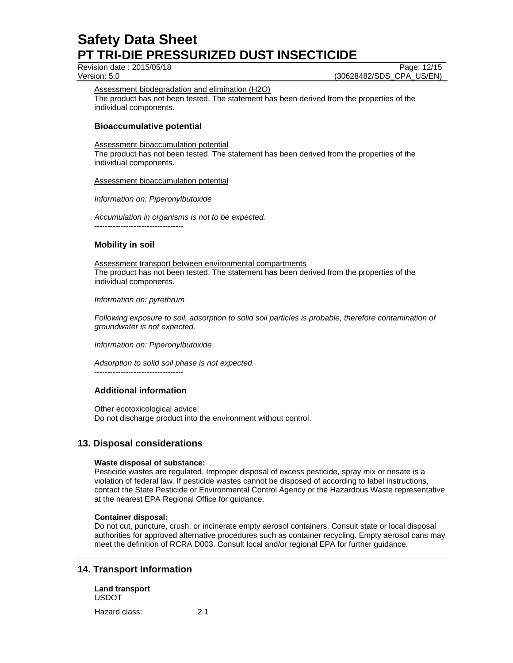Revision date : 2015/05/18 Page: 12/15

Version: 5.0 (30628482/SDS\_CPA\_US/EN)

Assessment biodegradation and elimination (H2O) The product has not been tested. The statement has been derived from the properties of the individual components.

## **Bioaccumulative potential**

Assessment bioaccumulation potential

The product has not been tested. The statement has been derived from the properties of the individual components.

#### Assessment bioaccumulation potential

*Information on: Piperonylbutoxide* 

*Accumulation in organisms is not to be expected.* 

----------------------------------

## **Mobility in soil**

Assessment transport between environmental compartments The product has not been tested. The statement has been derived from the properties of the individual components.

*Information on: pyrethrum* 

*Following exposure to soil, adsorption to solid soil particles is probable, therefore contamination of groundwater is not expected.*

*Information on: Piperonylbutoxide* 

*Adsorption to solid soil phase is not expected.*

## **Additional information**

----------------------------------

Other ecotoxicological advice: Do not discharge product into the environment without control.

## **13. Disposal considerations**

### **Waste disposal of substance:**

Pesticide wastes are regulated. Improper disposal of excess pesticide, spray mix or rinsate is a violation of federal law. If pesticide wastes cannot be disposed of according to label instructions, contact the State Pesticide or Environmental Control Agency or the Hazardous Waste representative at the nearest EPA Regional Office for guidance.

### **Container disposal:**

Do not cut, puncture, crush, or incinerate empty aerosol containers. Consult state or local disposal authorities for approved alternative procedures such as container recycling. Empty aerosol cans may meet the definition of RCRA D003. Consult local and/or regional EPA for further guidance.

## **14. Transport Information**

**Land transport**  USDOT Hazard class: 2.1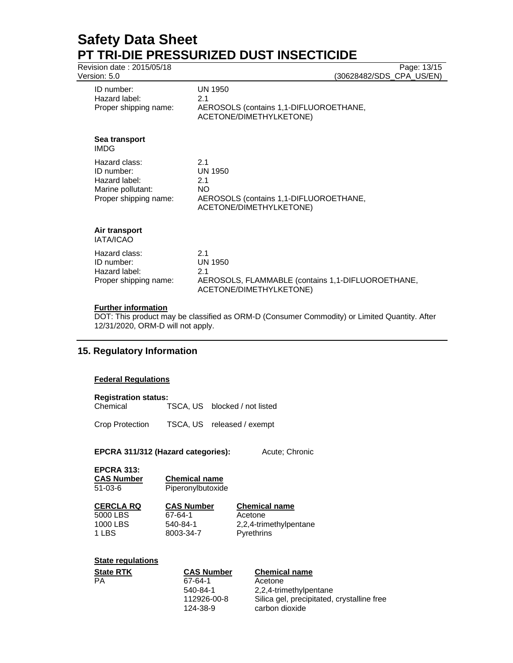| Revision date: 2015/05/18<br>Version: 5.0                                                  | Page: 13/15<br>(30628482/SDS_CPA_US/EN)                                                                      |
|--------------------------------------------------------------------------------------------|--------------------------------------------------------------------------------------------------------------|
| ID number:<br>Hazard label:<br>Proper shipping name:                                       | UN 1950<br>2.1<br>AEROSOLS (contains 1,1-DIFLUOROETHANE,<br>ACETONE/DIMETHYLKETONE)                          |
| Sea transport<br><b>IMDG</b>                                                               |                                                                                                              |
| Hazard class:<br>ID number:<br>Hazard label:<br>Marine pollutant:<br>Proper shipping name: | 2.1<br><b>UN 1950</b><br>2.1<br>NO.<br>AEROSOLS (contains 1,1-DIFLUOROETHANE,<br>ACETONE/DIMETHYLKETONE)     |
| Air transport<br><b>IATA/ICAO</b>                                                          |                                                                                                              |
| Hazard class:<br>ID number:<br>Hazard label:<br>Proper shipping name:                      | 2.1<br><b>UN 1950</b><br>2.1<br>AEROSOLS, FLAMMABLE (contains 1,1-DIFLUOROETHANE,<br>ACETONE/DIMETHYLKETONE) |
| <b>Further information</b>                                                                 |                                                                                                              |

## **Further information**

DOT: This product may be classified as ORM-D (Consumer Commodity) or Limited Quantity. After 12/31/2020, ORM-D will not apply.

## **15. Regulatory Information**

### **Federal Regulations**

#### **Registration status:**

Chemical TSCA, US blocked / not listed

Crop Protection TSCA, US released / exempt

## EPCRA 311/312 (Hazard categories): Acute; Chronic

| <b>EPCRA 313:</b><br><b>CAS Number</b><br>$51 - 03 - 6$ | <b>Chemical name</b><br>Piperonylbutoxide |                      |
|---------------------------------------------------------|-------------------------------------------|----------------------|
| <b>CERCLA RQ</b>                                        | <b>CAS Number</b>                         | <b>Chemical name</b> |

5000 LBS 67-64-1 Acetone 1 LBS 8003-34-7 Pyrethrins

1000 LBS 540-84-1 2,2,4-trimethylpentane

## **State regulations**

| <b>State RTK</b> | <b>CAS Number</b> | <b>Chemical name</b>                       |
|------------------|-------------------|--------------------------------------------|
| PA               | 67-64-1           | Acetone                                    |
|                  | 540-84-1          | 2,2,4-trimethylpentane                     |
|                  | 112926-00-8       | Silica gel, precipitated, crystalline free |
|                  | 124-38-9          | carbon dioxide                             |
|                  |                   |                                            |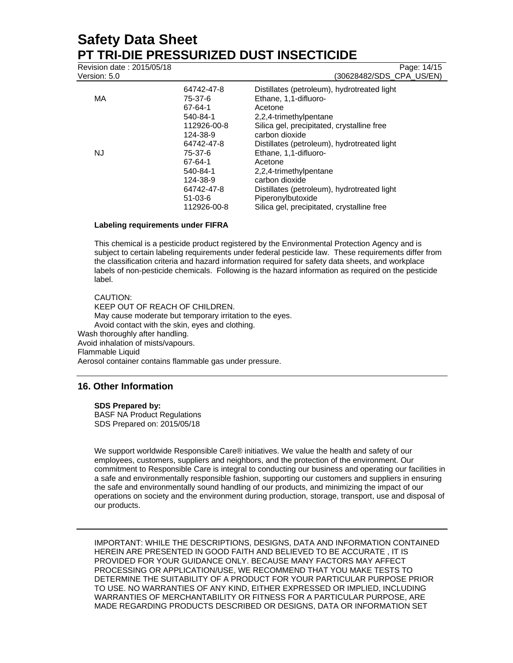| Revision date: 2015/05/18 |               | Page: 14/15                                 |
|---------------------------|---------------|---------------------------------------------|
| Version: 5.0              |               | (30628482/SDS_CPA_US/EN)                    |
|                           | 64742-47-8    | Distillates (petroleum), hydrotreated light |
| МA                        | 75-37-6       | Ethane, 1,1-difluoro-                       |
|                           | 67-64-1       | Acetone                                     |
|                           | 540-84-1      | 2,2,4-trimethylpentane                      |
|                           | 112926-00-8   | Silica gel, precipitated, crystalline free  |
|                           | 124-38-9      | carbon dioxide                              |
|                           | 64742-47-8    | Distillates (petroleum), hydrotreated light |
| NJ                        | 75-37-6       | Ethane, 1,1-difluoro-                       |
|                           | 67-64-1       | Acetone                                     |
|                           | 540-84-1      | 2,2,4-trimethylpentane                      |
|                           | 124-38-9      | carbon dioxide                              |
|                           | 64742-47-8    | Distillates (petroleum), hydrotreated light |
|                           | $51 - 03 - 6$ | Piperonylbutoxide                           |
|                           | 112926-00-8   | Silica gel, precipitated, crystalline free  |

#### **Labeling requirements under FIFRA**

This chemical is a pesticide product registered by the Environmental Protection Agency and is subject to certain labeling requirements under federal pesticide law. These requirements differ from the classification criteria and hazard information required for safety data sheets, and workplace labels of non-pesticide chemicals. Following is the hazard information as required on the pesticide label.

#### CAUTION: KEEP OUT OF REACH OF CHILDREN. May cause moderate but temporary irritation to the eyes. Avoid contact with the skin, eyes and clothing. Wash thoroughly after handling. Avoid inhalation of mists/vapours. Flammable Liquid Aerosol container contains flammable gas under pressure.

## **16. Other Information**

#### **SDS Prepared by:**

BASF NA Product Regulations SDS Prepared on: 2015/05/18

We support worldwide Responsible Care® initiatives. We value the health and safety of our employees, customers, suppliers and neighbors, and the protection of the environment. Our commitment to Responsible Care is integral to conducting our business and operating our facilities in a safe and environmentally responsible fashion, supporting our customers and suppliers in ensuring the safe and environmentally sound handling of our products, and minimizing the impact of our operations on society and the environment during production, storage, transport, use and disposal of our products.

IMPORTANT: WHILE THE DESCRIPTIONS, DESIGNS, DATA AND INFORMATION CONTAINED HEREIN ARE PRESENTED IN GOOD FAITH AND BELIEVED TO BE ACCURATE , IT IS PROVIDED FOR YOUR GUIDANCE ONLY. BECAUSE MANY FACTORS MAY AFFECT PROCESSING OR APPLICATION/USE, WE RECOMMEND THAT YOU MAKE TESTS TO DETERMINE THE SUITABILITY OF A PRODUCT FOR YOUR PARTICULAR PURPOSE PRIOR TO USE. NO WARRANTIES OF ANY KIND, EITHER EXPRESSED OR IMPLIED, INCLUDING WARRANTIES OF MERCHANTABILITY OR FITNESS FOR A PARTICULAR PURPOSE, ARE MADE REGARDING PRODUCTS DESCRIBED OR DESIGNS, DATA OR INFORMATION SET